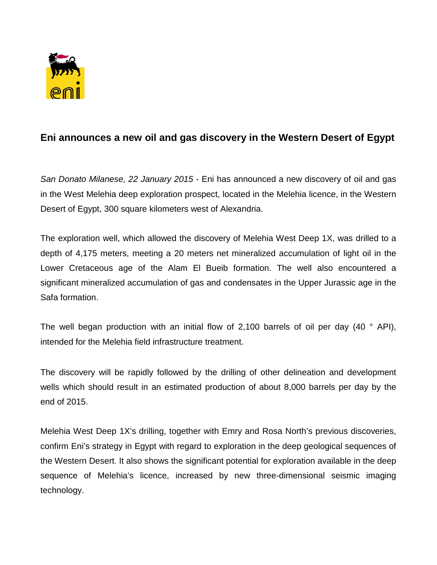

## **Eni announces a new oil and gas discovery in the Western Desert of Egypt**

*San Donato Milanese, 22 January 2015* - Eni has announced a new discovery of oil and gas in the West Melehia deep exploration prospect, located in the Melehia licence, in the Western Desert of Egypt, 300 square kilometers west of Alexandria.

The exploration well, which allowed the discovery of Melehia West Deep 1X, was drilled to a depth of 4,175 meters, meeting a 20 meters net mineralized accumulation of light oil in the Lower Cretaceous age of the Alam El Bueib formation. The well also encountered a significant mineralized accumulation of gas and condensates in the Upper Jurassic age in the Safa formation.

The well began production with an initial flow of 2,100 barrels of oil per day (40  $\degree$  API), intended for the Melehia field infrastructure treatment.

The discovery will be rapidly followed by the drilling of other delineation and development wells which should result in an estimated production of about 8,000 barrels per day by the end of 2015.

Melehia West Deep 1X's drilling, together with Emry and Rosa North's previous discoveries, confirm Eni's strategy in Egypt with regard to exploration in the deep geological sequences of the Western Desert. It also shows the significant potential for exploration available in the deep sequence of Melehia's licence, increased by new three-dimensional seismic imaging technology.